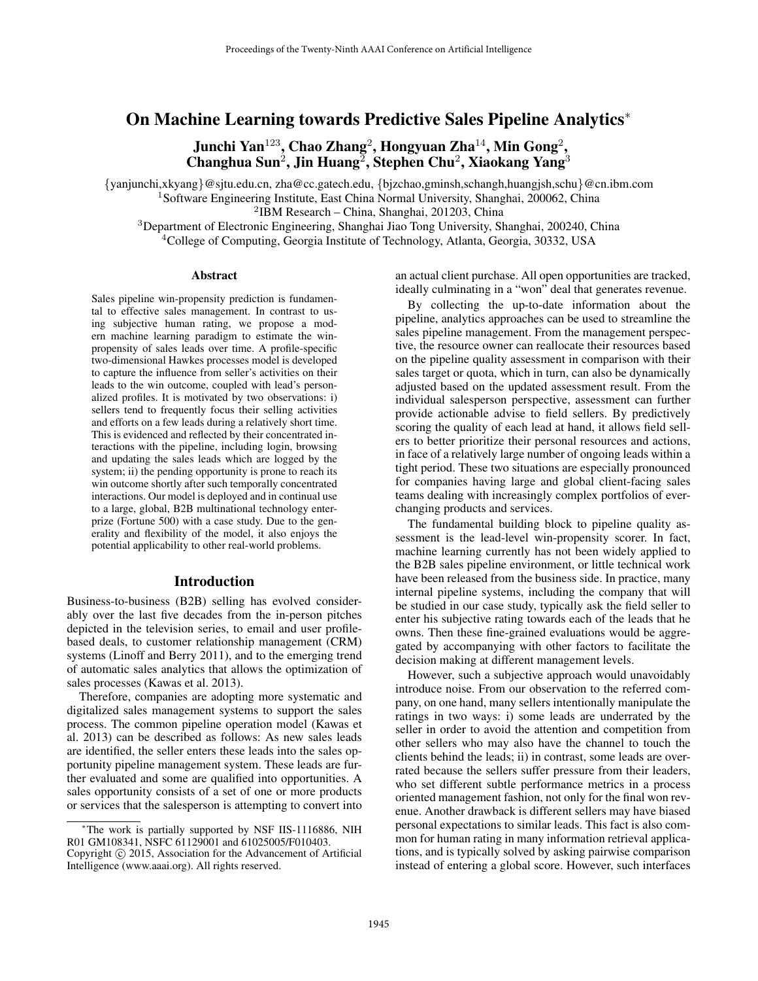# On Machine Learning towards Predictive Sales Pipeline Analytics<sup>∗</sup>

Junchi Yan $^{123}$ , Chao Zhang $^2$ , Hongyuan Zha $^{14}$ , Min Gong $^2$ , Changhua Sun<sup>2</sup>, Jin Huang<sup>2</sup>, Stephen Chu<sup>2</sup>, Xiaokang Yang<sup>3</sup>

{yanjunchi,xkyang}@sjtu.edu.cn, zha@cc.gatech.edu, {bjzchao,gminsh,schangh,huangjsh,schu}@cn.ibm.com <sup>1</sup>Software Engineering Institute, East China Normal University, Shanghai, 200062, China 2 IBM Research – China, Shanghai, 201203, China

<sup>3</sup>Department of Electronic Engineering, Shanghai Jiao Tong University, Shanghai, 200240, China <sup>4</sup>College of Computing, Georgia Institute of Technology, Atlanta, Georgia, 30332, USA

#### Abstract

Sales pipeline win-propensity prediction is fundamental to effective sales management. In contrast to using subjective human rating, we propose a modern machine learning paradigm to estimate the winpropensity of sales leads over time. A profile-specific two-dimensional Hawkes processes model is developed to capture the influence from seller's activities on their leads to the win outcome, coupled with lead's personalized profiles. It is motivated by two observations: i) sellers tend to frequently focus their selling activities and efforts on a few leads during a relatively short time. This is evidenced and reflected by their concentrated interactions with the pipeline, including login, browsing and updating the sales leads which are logged by the system; ii) the pending opportunity is prone to reach its win outcome shortly after such temporally concentrated interactions. Our model is deployed and in continual use to a large, global, B2B multinational technology enterprize (Fortune 500) with a case study. Due to the generality and flexibility of the model, it also enjoys the potential applicability to other real-world problems.

# Introduction

Business-to-business (B2B) selling has evolved considerably over the last five decades from the in-person pitches depicted in the television series, to email and user profilebased deals, to customer relationship management (CRM) systems (Linoff and Berry 2011), and to the emerging trend of automatic sales analytics that allows the optimization of sales processes (Kawas et al. 2013).

Therefore, companies are adopting more systematic and digitalized sales management systems to support the sales process. The common pipeline operation model (Kawas et al. 2013) can be described as follows: As new sales leads are identified, the seller enters these leads into the sales opportunity pipeline management system. These leads are further evaluated and some are qualified into opportunities. A sales opportunity consists of a set of one or more products or services that the salesperson is attempting to convert into

an actual client purchase. All open opportunities are tracked, ideally culminating in a "won" deal that generates revenue.

By collecting the up-to-date information about the pipeline, analytics approaches can be used to streamline the sales pipeline management. From the management perspective, the resource owner can reallocate their resources based on the pipeline quality assessment in comparison with their sales target or quota, which in turn, can also be dynamically adjusted based on the updated assessment result. From the individual salesperson perspective, assessment can further provide actionable advise to field sellers. By predictively scoring the quality of each lead at hand, it allows field sellers to better prioritize their personal resources and actions, in face of a relatively large number of ongoing leads within a tight period. These two situations are especially pronounced for companies having large and global client-facing sales teams dealing with increasingly complex portfolios of everchanging products and services.

The fundamental building block to pipeline quality assessment is the lead-level win-propensity scorer. In fact, machine learning currently has not been widely applied to the B2B sales pipeline environment, or little technical work have been released from the business side. In practice, many internal pipeline systems, including the company that will be studied in our case study, typically ask the field seller to enter his subjective rating towards each of the leads that he owns. Then these fine-grained evaluations would be aggregated by accompanying with other factors to facilitate the decision making at different management levels.

However, such a subjective approach would unavoidably introduce noise. From our observation to the referred company, on one hand, many sellers intentionally manipulate the ratings in two ways: i) some leads are underrated by the seller in order to avoid the attention and competition from other sellers who may also have the channel to touch the clients behind the leads; ii) in contrast, some leads are overrated because the sellers suffer pressure from their leaders, who set different subtle performance metrics in a process oriented management fashion, not only for the final won revenue. Another drawback is different sellers may have biased personal expectations to similar leads. This fact is also common for human rating in many information retrieval applications, and is typically solved by asking pairwise comparison instead of entering a global score. However, such interfaces

<sup>∗</sup>The work is partially supported by NSF IIS-1116886, NIH R01 GM108341, NSFC 61129001 and 61025005/F010403.

Copyright © 2015, Association for the Advancement of Artificial Intelligence (www.aaai.org). All rights reserved.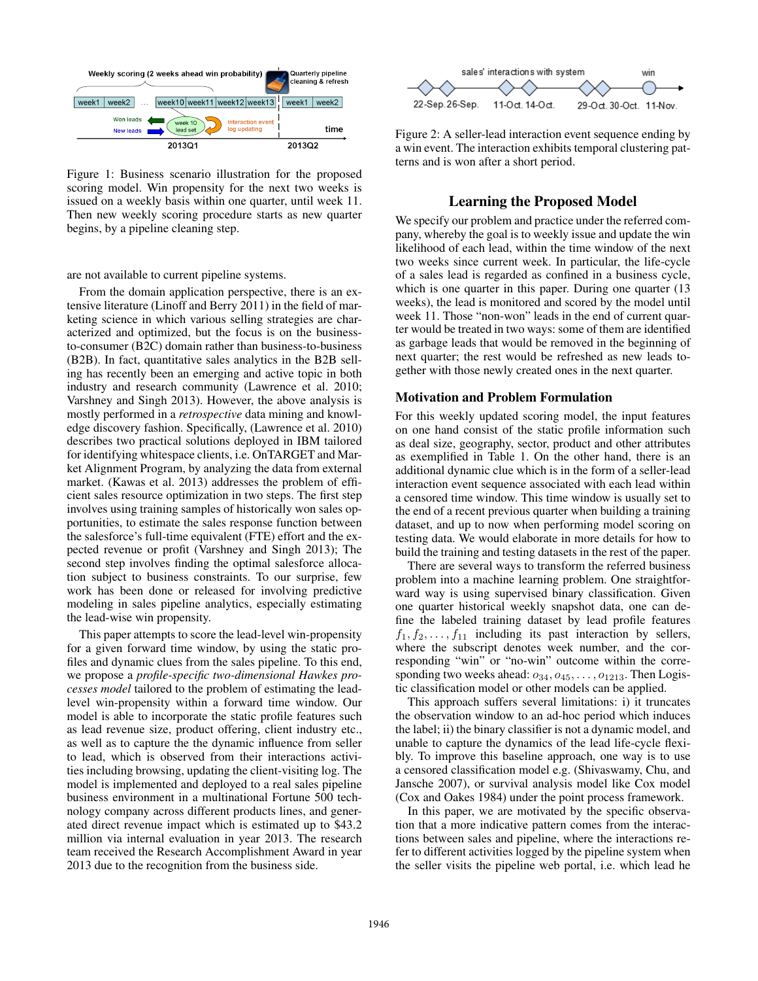

Figure 1: Business scenario illustration for the proposed scoring model. Win propensity for the next two weeks is issued on a weekly basis within one quarter, until week 11. Then new weekly scoring procedure starts as new quarter begins, by a pipeline cleaning step.

are not available to current pipeline systems.

From the domain application perspective, there is an extensive literature (Linoff and Berry 2011) in the field of marketing science in which various selling strategies are characterized and optimized, but the focus is on the businessto-consumer (B2C) domain rather than business-to-business (B2B). In fact, quantitative sales analytics in the B2B selling has recently been an emerging and active topic in both industry and research community (Lawrence et al. 2010; Varshney and Singh 2013). However, the above analysis is mostly performed in a *retrospective* data mining and knowledge discovery fashion. Specifically, (Lawrence et al. 2010) describes two practical solutions deployed in IBM tailored for identifying whitespace clients, i.e. OnTARGET and Market Alignment Program, by analyzing the data from external market. (Kawas et al. 2013) addresses the problem of efficient sales resource optimization in two steps. The first step involves using training samples of historically won sales opportunities, to estimate the sales response function between the salesforce's full-time equivalent (FTE) effort and the expected revenue or profit (Varshney and Singh 2013); The second step involves finding the optimal salesforce allocation subject to business constraints. To our surprise, few work has been done or released for involving predictive modeling in sales pipeline analytics, especially estimating the lead-wise win propensity.

This paper attempts to score the lead-level win-propensity for a given forward time window, by using the static profiles and dynamic clues from the sales pipeline. To this end, we propose a *profile-specific two-dimensional Hawkes processes model* tailored to the problem of estimating the leadlevel win-propensity within a forward time window. Our model is able to incorporate the static profile features such as lead revenue size, product offering, client industry etc., as well as to capture the the dynamic influence from seller to lead, which is observed from their interactions activities including browsing, updating the client-visiting log. The model is implemented and deployed to a real sales pipeline business environment in a multinational Fortune 500 technology company across different products lines, and generated direct revenue impact which is estimated up to \$43.2 million via internal evaluation in year 2013. The research team received the Research Accomplishment Award in year 2013 due to the recognition from the business side.



Figure 2: A seller-lead interaction event sequence ending by a win event. The interaction exhibits temporal clustering patterns and is won after a short period.

# Learning the Proposed Model

We specify our problem and practice under the referred company, whereby the goal is to weekly issue and update the win likelihood of each lead, within the time window of the next two weeks since current week. In particular, the life-cycle of a sales lead is regarded as confined in a business cycle, which is one quarter in this paper. During one quarter (13 weeks), the lead is monitored and scored by the model until week 11. Those "non-won" leads in the end of current quarter would be treated in two ways: some of them are identified as garbage leads that would be removed in the beginning of next quarter; the rest would be refreshed as new leads together with those newly created ones in the next quarter.

### Motivation and Problem Formulation

For this weekly updated scoring model, the input features on one hand consist of the static profile information such as deal size, geography, sector, product and other attributes as exemplified in Table 1. On the other hand, there is an additional dynamic clue which is in the form of a seller-lead interaction event sequence associated with each lead within a censored time window. This time window is usually set to the end of a recent previous quarter when building a training dataset, and up to now when performing model scoring on testing data. We would elaborate in more details for how to build the training and testing datasets in the rest of the paper.

There are several ways to transform the referred business problem into a machine learning problem. One straightforward way is using supervised binary classification. Given one quarter historical weekly snapshot data, one can define the labeled training dataset by lead profile features  $f_1, f_2, \ldots, f_{11}$  including its past interaction by sellers, where the subscript denotes week number, and the corresponding "win" or "no-win" outcome within the corresponding two weeks ahead:  $o_{34}, o_{45}, \ldots, o_{1213}$ . Then Logistic classification model or other models can be applied.

This approach suffers several limitations: i) it truncates the observation window to an ad-hoc period which induces the label; ii) the binary classifier is not a dynamic model, and unable to capture the dynamics of the lead life-cycle flexibly. To improve this baseline approach, one way is to use a censored classification model e.g. (Shivaswamy, Chu, and Jansche 2007), or survival analysis model like Cox model (Cox and Oakes 1984) under the point process framework.

In this paper, we are motivated by the specific observation that a more indicative pattern comes from the interactions between sales and pipeline, where the interactions refer to different activities logged by the pipeline system when the seller visits the pipeline web portal, i.e. which lead he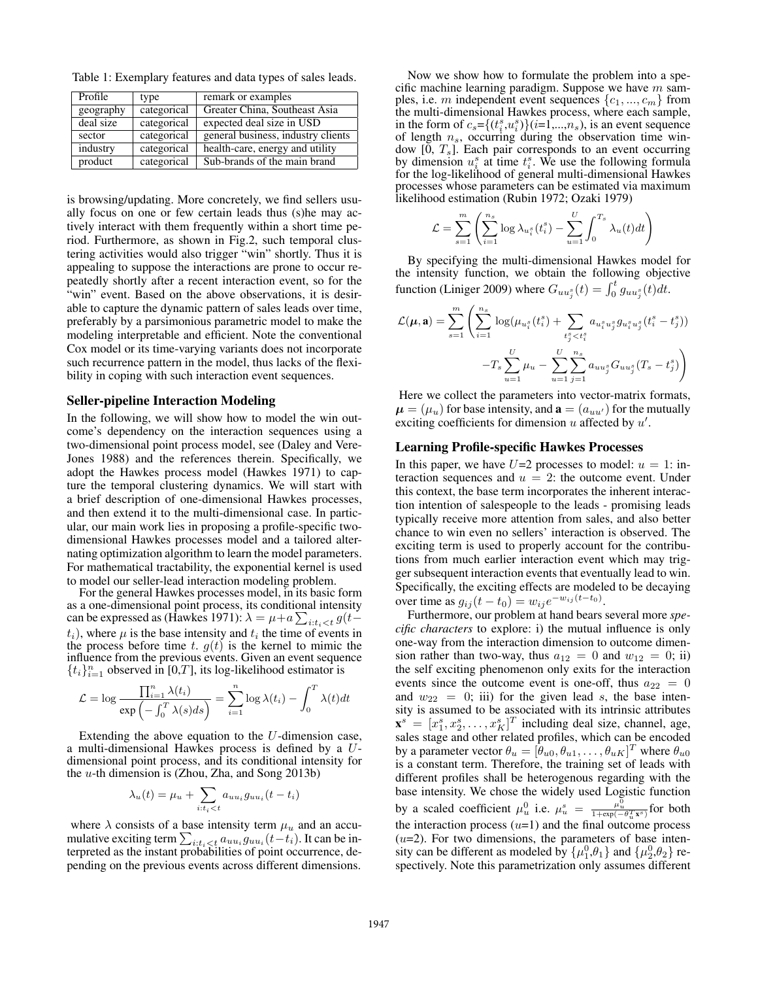Table 1: Exemplary features and data types of sales leads.

| Profile   | type        | remark or examples                 |
|-----------|-------------|------------------------------------|
| geography | categorical | Greater China, Southeast Asia      |
| deal size | categorical | expected deal size in USD          |
| sector    | categorical | general business, industry clients |
| industry  | categorical | health-care, energy and utility    |
| product   | categorical | Sub-brands of the main brand       |

is browsing/updating. More concretely, we find sellers usually focus on one or few certain leads thus (s)he may actively interact with them frequently within a short time period. Furthermore, as shown in Fig.2, such temporal clustering activities would also trigger "win" shortly. Thus it is appealing to suppose the interactions are prone to occur repeatedly shortly after a recent interaction event, so for the "win" event. Based on the above observations, it is desirable to capture the dynamic pattern of sales leads over time, preferably by a parsimonious parametric model to make the modeling interpretable and efficient. Note the conventional Cox model or its time-varying variants does not incorporate such recurrence pattern in the model, thus lacks of the flexibility in coping with such interaction event sequences.

### Seller-pipeline Interaction Modeling

In the following, we will show how to model the win outcome's dependency on the interaction sequences using a two-dimensional point process model, see (Daley and Vere-Jones 1988) and the references therein. Specifically, we adopt the Hawkes process model (Hawkes 1971) to capture the temporal clustering dynamics. We will start with a brief description of one-dimensional Hawkes processes, and then extend it to the multi-dimensional case. In particular, our main work lies in proposing a profile-specific twodimensional Hawkes processes model and a tailored alternating optimization algorithm to learn the model parameters. For mathematical tractability, the exponential kernel is used to model our seller-lead interaction modeling problem.

For the general Hawkes processes model, in its basic form as a one-dimensional point process, its conditional intensity can be expressed as (Hawkes 1971):  $\lambda = \mu + a \sum_{i:t_i < t} g(t (t_i)$ , where  $\mu$  is the base intensity and  $t_i$  the time of events in the process before time t.  $g(t)$  is the kernel to mimic the influence from the previous events. Given an event sequence  $\{t_i\}_{i=1}^n$  observed in [0,T], its log-likelihood estimator is

$$
\mathcal{L} = \log \frac{\prod_{i=1}^{n} \lambda(t_i)}{\exp \left(-\int_0^T \lambda(s) ds\right)} = \sum_{i=1}^{n} \log \lambda(t_i) - \int_0^T \lambda(t) dt
$$

Extending the above equation to the  $U$ -dimension case, a multi-dimensional Hawkes process is defined by a Udimensional point process, and its conditional intensity for the  $u$ -th dimension is (Zhou, Zha, and Song 2013b)

$$
\lambda_u(t) = \mu_u + \sum_{i:t_i < t} a_{uu_i} g_{uu_i}(t - t_i)
$$

where  $\lambda$  consists of a base intensity term  $\mu_u$  and an accumulative exciting term  $\sum_{i:t_i < t} a_{uu_i} g_{uu_i}(t-t_i)$ . It can be interpreted as the instant probabilities of point occurrence, depending on the previous events across different dimensions.

Now we show how to formulate the problem into a specific machine learning paradigm. Suppose we have  $m$  samples, i.e. m independent event sequences  $\{c_1, ..., c_m\}$  from the multi-dimensional Hawkes process, where each sample, in the form of  $c_s = \{(t_i^s, u_i^s)\}(i=1,\dots,n_s)$ , is an event sequence of length  $n_s$ , occurring during the observation time window  $[0, T_s]$ . Each pair corresponds to an event occurring by dimension  $u_i^s$  at time  $t_i^s$ . We use the following formula for the log-likelihood of general multi-dimensional Hawkes processes whose parameters can be estimated via maximum likelihood estimation (Rubin 1972; Ozaki 1979)

$$
\mathcal{L} = \sum_{s=1}^{m} \left( \sum_{i=1}^{n_s} \log \lambda_{u_i^s}(t_i^s) - \sum_{u=1}^{U} \int_0^{T_s} \lambda_u(t)dt \right)
$$

By specifying the multi-dimensional Hawkes model for the intensity function, we obtain the following objective function (Liniger 2009) where  $G_{uu_j^s}(t) = \int_0^t g_{uu_j^s}(t)dt$ .

$$
\mathcal{L}(\mu, \mathbf{a}) = \sum_{s=1}^{m} \left( \sum_{i=1}^{n_s} \log(\mu_{u_i^s}(t_i^s) + \sum_{t_j^s < t_i^s} a_{u_i^s u_j^s} g_{u_i^s u_j^s}(t_i^s - t_j^s)) - T_s \sum_{u=1}^{U} \mu_u - \sum_{u=1}^{U} \sum_{j=1}^{n_s} a_{uu_j^s} G_{uu_j^s}(T_s - t_j^s) \right)
$$

Here we collect the parameters into vector-matrix formats,  $\mu = (\mu_u)$  for base intensity, and  $\mathbf{a} = (a_{uu'})$  for the mutually exciting coefficients for dimension  $u$  affected by  $u'$ .

#### Learning Profile-specific Hawkes Processes

In this paper, we have  $U=2$  processes to model:  $u = 1$ : interaction sequences and  $u = 2$ : the outcome event. Under this context, the base term incorporates the inherent interaction intention of salespeople to the leads - promising leads typically receive more attention from sales, and also better chance to win even no sellers' interaction is observed. The exciting term is used to properly account for the contributions from much earlier interaction event which may trigger subsequent interaction events that eventually lead to win. Specifically, the exciting effects are modeled to be decaying over time as  $g_{ij}(t - t_0) = w_{ij} e^{-w_{ij}(t - t_0)}$ .

Furthermore, our problem at hand bears several more *specific characters* to explore: i) the mutual influence is only one-way from the interaction dimension to outcome dimension rather than two-way, thus  $a_{12} = 0$  and  $w_{12} = 0$ ; ii) the self exciting phenomenon only exits for the interaction events since the outcome event is one-off, thus  $a_{22} = 0$ and  $w_{22} = 0$ ; iii) for the given lead s, the base intensity is assumed to be associated with its intrinsic attributes  $\mathbf{x}^s = [x_1^s, x_2^s, \dots, x_K^s]^T$  including deal size, channel, age, sales stage and other related profiles, which can be encoded by a parameter vector  $\theta_u = [\hat{\theta}_{u0}, \theta_{u1}, \dots, \theta_{uK}]^T$  where  $\theta_{u0}$ is a constant term. Therefore, the training set of leads with different profiles shall be heterogenous regarding with the base intensity. We chose the widely used Logistic function by a scaled coefficient  $\mu_u^0$  i.e.  $\mu_u^s = \frac{\mu_u^0}{1 + \exp(-\theta_u^T \mathbf{x}^s)}$  for both the interaction process  $(u=1)$  and the final outcome process  $(u=2)$ . For two dimensions, the parameters of base intensity can be different as modeled by  $\{\mu_1^0, \theta_1\}$  and  $\{\mu_2^0, \theta_2\}$  respectively. Note this parametrization only assumes different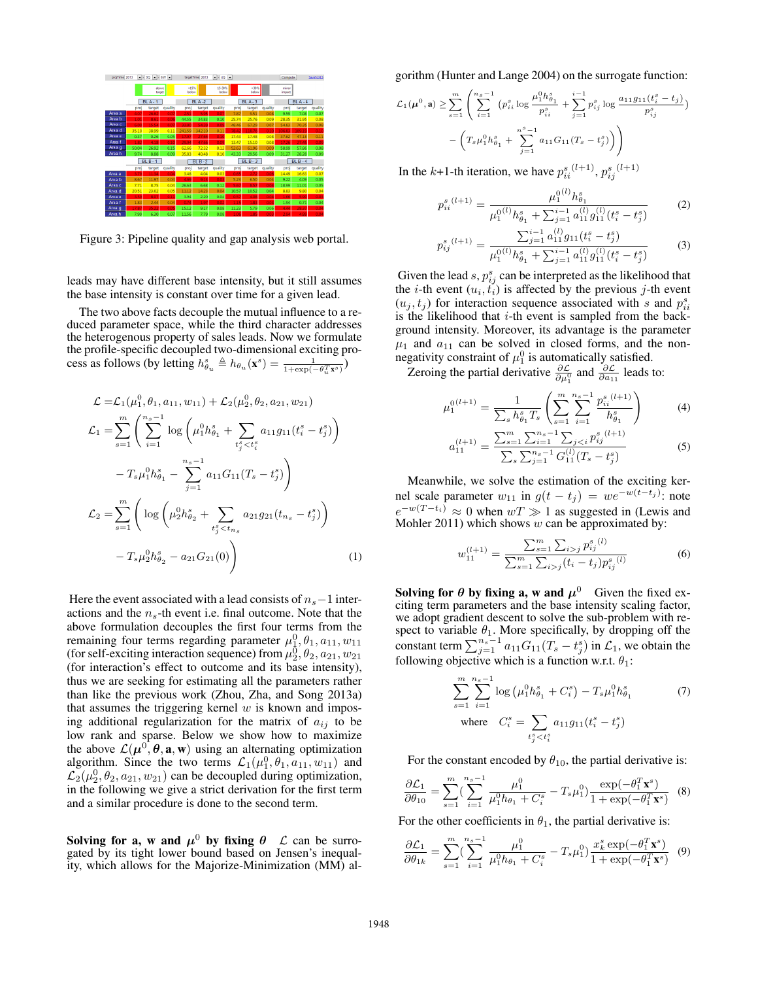

Figure 3: Pipeline quality and gap analysis web portal.

leads may have different base intensity, but it still assumes the base intensity is constant over time for a given lead.

The two above facts decouple the mutual influence to a reduced parameter space, while the third character addresses the heterogenous property of sales leads. Now we formulate the profile-specific decoupled two-dimensional exciting process as follows (by letting  $h_{\theta_u}^s \triangleq h_{\theta_u}(\mathbf{x}^s) = \frac{1}{1 + \exp(-\theta_u^T \mathbf{x}^s)}$ )

$$
\mathcal{L} = \mathcal{L}_1(\mu_1^0, \theta_1, a_{11}, w_{11}) + \mathcal{L}_2(\mu_2^0, \theta_2, a_{21}, w_{21})
$$
  
\n
$$
\mathcal{L}_1 = \sum_{s=1}^m \left( \sum_{i=1}^{n_s - 1} \log \left( \mu_1^0 h_{\theta_1}^s + \sum_{t_j^s < t_i^s} a_{11} g_{11}(t_i^s - t_j^s) \right) - T_s \mu_1^0 h_{\theta_1}^s - \sum_{j=1}^{n_s - 1} a_{11} G_{11}(T_s - t_j^s) \right)
$$
  
\n
$$
\mathcal{L}_2 = \sum_{s=1}^m \left( \log \left( \mu_2^0 h_{\theta_2}^s + \sum_{t_j^s < t_{n_s}} a_{21} g_{21}(t_{n_s} - t_j^s) \right) - T_s \mu_2^0 h_{\theta_2}^s - a_{21} G_{21}(0) \right) \tag{1}
$$

Here the event associated with a lead consists of  $n<sub>s</sub>$  −1 interactions and the  $n<sub>s</sub>$ -th event i.e. final outcome. Note that the above formulation decouples the first four terms from the remaining four terms regarding parameter  $\mu_1^0, \theta_1, a_{11}, w_{11}$ (for self-exciting interaction sequence) from  $\mu_2^0$ ,  $\theta_2$ ,  $a_{21}$ ,  $w_{21}$ (for interaction's effect to outcome and its base intensity), thus we are seeking for estimating all the parameters rather than like the previous work (Zhou, Zha, and Song 2013a) that assumes the triggering kernel  $w$  is known and imposing additional regularization for the matrix of  $a_{ij}$  to be low rank and sparse. Below we show how to maximize the above  $\mathcal{L}(\mu^0, \theta, \mathbf{a}, \mathbf{w})$  using an alternating optimization algorithm. Since the two terms  $\mathcal{L}_1(\mu_1^0, \theta_1, a_{11}, w_{11})$  and  $\mathcal{L}_2(\mu_2^0, \theta_2, a_{21}, w_{21})$  can be decoupled during optimization, in the following we give a strict derivation for the first term and a similar procedure is done to the second term.

Solving for a, w and  $\mu^0$  by fixing  $\theta \mathcal{L}$  can be surrogated by its tight lower bound based on Jensen's inequality, which allows for the Majorize-Minimization (MM) algorithm (Hunter and Lange 2004) on the surrogate function:

$$
\mathcal{L}_1(\boldsymbol{\mu}^0, \mathbf{a}) \ge \sum_{s=1}^m \left( \sum_{i=1}^{n_s - 1} \left( p_{ii}^s \log \frac{\mu_1^0 h_{\theta_1}^s}{p_{ii}^s} + \sum_{j=1}^{i-1} p_{ij}^s \log \frac{a_{11} g_{11}(t_i^s - t_j)}{p_{ij}^s} \right) - \left( T_s \mu_1^0 h_{\theta_1}^s + \sum_{j=1}^{n_s - 1} a_{11} G_{11}(T_s - t_j^s) \right) \right)
$$

In the k+1-th iteration, we have  $p_{ii}^{s}(l+1)$ ,  $p_{ij}^{s}(l+1)$ 

 $\boldsymbol{\eta}$ 

$$
p_{ii}^{s\,(l+1)} = \frac{\mu_1^{0(l)} h_{\theta_1}^s}{\mu_1^{0(l)} h_{\theta_1}^s + \sum_{j=1}^{i-1} a_{11}^{(l)} g_{11}^{(l)} (t_i^s - t_j^s)}
$$
(2)

$$
p_{ij}^{s}(l+1) = \frac{\sum_{j=1}^{i-1} a_{11}^{(l)} g_{11}(t_i^s - t_j^s)}{\mu_1^{0(l)} h_{\theta_1}^s + \sum_{j=1}^{i-1} a_{11}^{(l)} g_{11}^{(l)}(t_i^s - t_j^s)}
$$
(3)

Given the lead  $s, p_{ij}^s$  can be interpreted as the likelihood that the *i*-th event  $(u_i, t_i)$  is affected by the previous *j*-th event  $(u_j, t_j)$  for interaction sequence associated with s and  $p_{ii}^s$ is the likelihood that  $i$ -th event is sampled from the background intensity. Moreover, its advantage is the parameter  $\mu_1$  and  $a_{11}$  can be solved in closed forms, and the nonnegativity constraint of  $\mu_1^0$  is automatically satisfied.

Zeroing the partial derivative  $\frac{\partial \mathcal{L}}{\partial \mu_1^0}$  and  $\frac{\partial \mathcal{L}}{\partial a_{11}}$  leads to:

$$
\mu_1^{0(l+1)} = \frac{1}{\sum_s h_{\theta_1}^s T_s} \left( \sum_{s=1}^m \sum_{i=1}^{n_s - 1} \frac{p_{ii}^s}{h_{\theta_1}^s} \right) \tag{4}
$$

$$
a_{11}^{(l+1)} = \frac{\sum_{s=1}^{m} \sum_{i=1}^{n_s - 1} \sum_{j < i} p_{ij}^{s}(l+1)}{\sum_{s} \sum_{j=1}^{n_s - 1} G_{11}^{(l)}(T_s - t_j^s)}\tag{5}
$$

Meanwhile, we solve the estimation of the exciting kernel scale parameter  $w_{11}$  in  $g(t - t_j) = we^{-w(t - t_j)}$ : note  $e^{-w(T-t_i)} \approx 0$  when  $wT \gg 1$  as suggested in (Lewis and Mohler 2011) which shows  $w$  can be approximated by:

$$
w_{11}^{(l+1)} = \frac{\sum_{s=1}^{m} \sum_{i>j} p_{ij}^{s}^{(l)}}{\sum_{s=1}^{m} \sum_{i>j} (t_i - t_j) p_{ij}^{s}^{(l)}} \tag{6}
$$

Solving for  $\theta$  by fixing a, w and  $\mu^0$  Given the fixed exciting term parameters and the base intensity scaling factor, we adopt gradient descent to solve the sub-problem with respect to variable  $\theta_1$ . More specifically, by dropping off the constant term  $\sum_{j=1}^{n_s-1} a_{11} G_{11}(T_s - t_j^s)$  in  $\mathcal{L}_1$ , we obtain the following objective which is a function w.r.t.  $\theta_1$ :

$$
\sum_{s=1}^{m} \sum_{i=1}^{n_s-1} \log \left( \mu_1^0 h_{\theta_1}^s + C_i^s \right) - T_s \mu_1^0 h_{\theta_1}^s \tag{7}
$$
\n
$$
\text{where} \quad C_i^s = \sum_{t_j^s < t_i^s} a_{11} g_{11} (t_i^s - t_j^s)
$$

For the constant encoded by  $\theta_{10}$ , the partial derivative is:

$$
\frac{\partial \mathcal{L}_1}{\partial \theta_{10}} = \sum_{s=1}^{m} \left( \sum_{i=1}^{n_s - 1} \frac{\mu_1^0}{\mu_1^0 h_{\theta_1} + C_i^s} - T_s \mu_1^0 \right) \frac{\exp(-\theta_1^T \mathbf{x}^s)}{1 + \exp(-\theta_1^T \mathbf{x}^s)} \tag{8}
$$

For the other coefficients in  $\theta_1$ , the partial derivative is:

$$
\frac{\partial \mathcal{L}_1}{\partial \theta_{1k}} = \sum_{s=1}^{m} \left( \sum_{i=1}^{n_s - 1} \frac{\mu_1^0}{\mu_1^0 h_{\theta_1} + C_i^s} - T_s \mu_1^0 \right) \frac{x_k^s \exp(-\theta_1^T \mathbf{x}^s)}{1 + \exp(-\theta_1^T \mathbf{x}^s)} \tag{9}
$$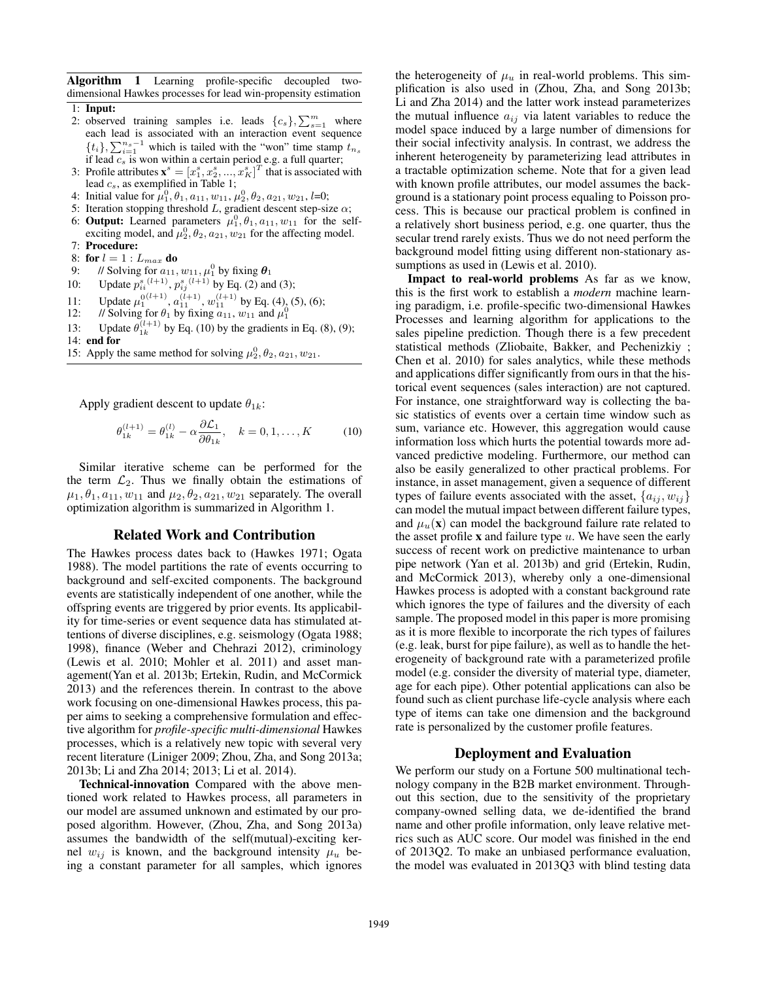Algorithm 1 Learning profile-specific decoupled twodimensional Hawkes processes for lead win-propensity estimation

- 1: Input:
- 2: observed training samples i.e. leads  $\{c_s\}, \sum_{s=1}^m$  where each lead is associated with an interaction event sequence  $\{t_i\}, \sum_{i=1}^{n_s-1}$  which is tailed with the "won" time stamp  $t_{n_s}$ if lead  $c_s$  is won within a certain period e.g. a full quarter;
- 3: Profile attributes  $\mathbf{x}^s = [x_1^s, x_2^s, ..., x_K^s]^T$  that is associated with lead  $c_s$ , as exemplified in Table 1;
- 4: Initial value for  $\mu_1^0, \theta_1, a_{11}, w_{11}, \mu_2^0, \theta_2, a_{21}, w_{21}, l=0;$
- 5: Iteration stopping threshold L, gradient descent step-size  $\alpha$ ;
- 6: Output: Learned parameters  $\mu_1^0$ ,  $\theta_1$ ,  $a_{11}$ ,  $w_{11}$  for the selfexciting model, and  $\mu_2^0$ ,  $\theta_2$ ,  $a_{21}$ ,  $w_{21}$  for the affecting model. 7: Procedure:
- 
- 8: for  $l = 1 : L_{max}$  do
- 9: // Solving for  $a_{11}$ ,  $w_{11}$ ,  $\mu_1^0$  by fixing  $\boldsymbol{\theta}_1$
- 10: Update  $p_{ii}^{s}(l+1)$ ,  $p_{ij}^{s}(l+1)$  by Eq. (2) and (3);
- 11: Update  $\mu_1^{0(l+1)}$ ,  $a_{11}^{(l+1)}$ ,  $w_{11}^{(l+1)}$  by Eq. (4), (5), (6);
- 12: // Solving for  $\theta_1$  by fixing  $a_{11}$ ,  $w_{11}$  and  $\mu_1^0$
- 13: Update  $\theta_{1k}^{(l+1)}$  by Eq. (10) by the gradients in Eq. (8), (9); 14: end for
- 15: Apply the same method for solving  $\mu_2^0$ ,  $\theta_2$ ,  $a_{21}$ ,  $w_{21}$ .

Apply gradient descent to update  $\theta_{1k}$ :

$$
\theta_{1k}^{(l+1)} = \theta_{1k}^{(l)} - \alpha \frac{\partial \mathcal{L}_1}{\partial \theta_{1k}}, \quad k = 0, 1, \dots, K \tag{10}
$$

Similar iterative scheme can be performed for the the term  $\mathcal{L}_2$ . Thus we finally obtain the estimations of  $\mu_1, \theta_1, a_{11}, w_{11}$  and  $\mu_2, \theta_2, a_{21}, w_{21}$  separately. The overall optimization algorithm is summarized in Algorithm 1.

### Related Work and Contribution

The Hawkes process dates back to (Hawkes 1971; Ogata 1988). The model partitions the rate of events occurring to background and self-excited components. The background events are statistically independent of one another, while the offspring events are triggered by prior events. Its applicability for time-series or event sequence data has stimulated attentions of diverse disciplines, e.g. seismology (Ogata 1988; 1998), finance (Weber and Chehrazi 2012), criminology (Lewis et al. 2010; Mohler et al. 2011) and asset management(Yan et al. 2013b; Ertekin, Rudin, and McCormick 2013) and the references therein. In contrast to the above work focusing on one-dimensional Hawkes process, this paper aims to seeking a comprehensive formulation and effective algorithm for *profile-specific multi-dimensional* Hawkes processes, which is a relatively new topic with several very recent literature (Liniger 2009; Zhou, Zha, and Song 2013a; 2013b; Li and Zha 2014; 2013; Li et al. 2014).

Technical-innovation Compared with the above mentioned work related to Hawkes process, all parameters in our model are assumed unknown and estimated by our proposed algorithm. However, (Zhou, Zha, and Song 2013a) assumes the bandwidth of the self(mutual)-exciting kernel  $w_{ij}$  is known, and the background intensity  $\mu_u$  being a constant parameter for all samples, which ignores the heterogeneity of  $\mu_u$  in real-world problems. This simplification is also used in (Zhou, Zha, and Song 2013b; Li and Zha 2014) and the latter work instead parameterizes the mutual influence  $a_{ij}$  via latent variables to reduce the model space induced by a large number of dimensions for their social infectivity analysis. In contrast, we address the inherent heterogeneity by parameterizing lead attributes in a tractable optimization scheme. Note that for a given lead with known profile attributes, our model assumes the background is a stationary point process equaling to Poisson process. This is because our practical problem is confined in a relatively short business period, e.g. one quarter, thus the secular trend rarely exists. Thus we do not need perform the background model fitting using different non-stationary assumptions as used in (Lewis et al. 2010).

Impact to real-world problems As far as we know, this is the first work to establish a *modern* machine learning paradigm, i.e. profile-specific two-dimensional Hawkes Processes and learning algorithm for applications to the sales pipeline prediction. Though there is a few precedent statistical methods (Zliobaite, Bakker, and Pechenizkiy ; Chen et al. 2010) for sales analytics, while these methods and applications differ significantly from ours in that the historical event sequences (sales interaction) are not captured. For instance, one straightforward way is collecting the basic statistics of events over a certain time window such as sum, variance etc. However, this aggregation would cause information loss which hurts the potential towards more advanced predictive modeling. Furthermore, our method can also be easily generalized to other practical problems. For instance, in asset management, given a sequence of different types of failure events associated with the asset,  $\{a_{ij}, w_{ij}\}$ can model the mutual impact between different failure types, and  $\mu_u(\mathbf{x})$  can model the background failure rate related to the asset profile  $x$  and failure type  $u$ . We have seen the early success of recent work on predictive maintenance to urban pipe network (Yan et al. 2013b) and grid (Ertekin, Rudin, and McCormick 2013), whereby only a one-dimensional Hawkes process is adopted with a constant background rate which ignores the type of failures and the diversity of each sample. The proposed model in this paper is more promising as it is more flexible to incorporate the rich types of failures (e.g. leak, burst for pipe failure), as well as to handle the heterogeneity of background rate with a parameterized profile model (e.g. consider the diversity of material type, diameter, age for each pipe). Other potential applications can also be found such as client purchase life-cycle analysis where each type of items can take one dimension and the background rate is personalized by the customer profile features.

### Deployment and Evaluation

We perform our study on a Fortune 500 multinational technology company in the B2B market environment. Throughout this section, due to the sensitivity of the proprietary company-owned selling data, we de-identified the brand name and other profile information, only leave relative metrics such as AUC score. Our model was finished in the end of 2013Q2. To make an unbiased performance evaluation, the model was evaluated in 2013Q3 with blind testing data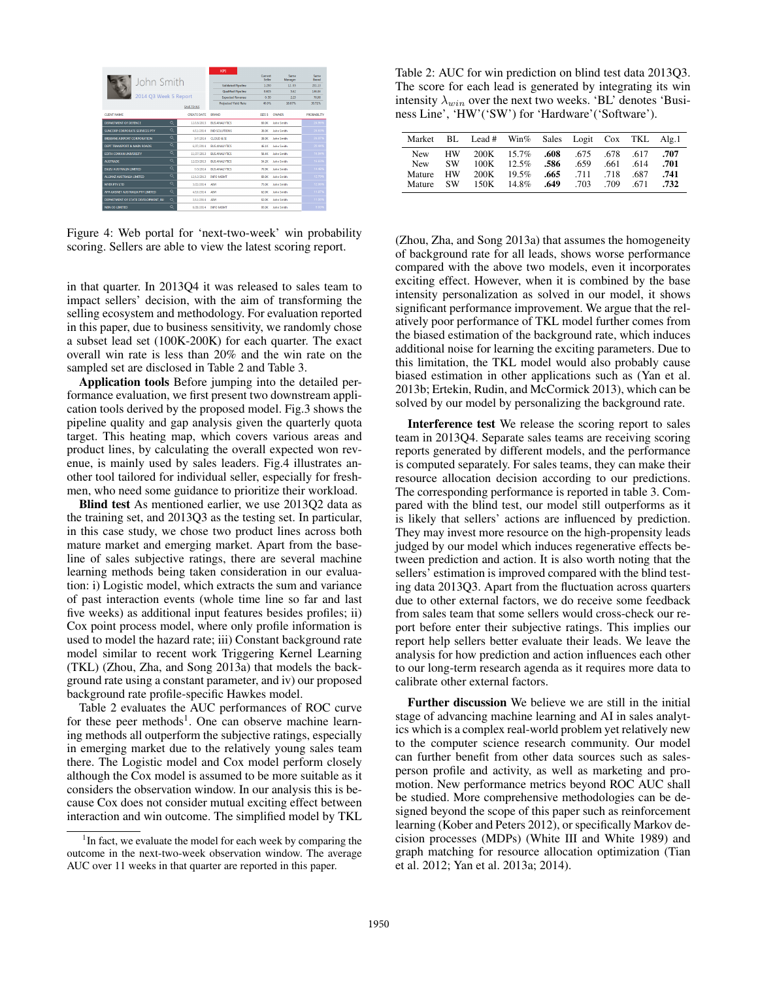| John Smith<br>2014 O3 Week 5 Report<br>SAVE TO XLS |              |                    | KPI<br><b>Validated Ploeline</b><br><b>Qualified Pipeline</b><br><b>Expected Revenue</b><br><b>Projected Yield Rate</b> | Current<br>Seller<br>1.250<br>0.605<br>0.50<br>40.0% | Same<br>Manager<br>12.05<br>5.62<br>225<br>18.67% | Same<br><b>Roand</b><br>231.13<br>146.84<br>70.98<br>30.71% |
|----------------------------------------------------|--------------|--------------------|-------------------------------------------------------------------------------------------------------------------------|------------------------------------------------------|---------------------------------------------------|-------------------------------------------------------------|
| <b>CUENT NAME</b>                                  |              | <b>CREATE DATE</b> | <b>BRAND</b>                                                                                                            | SIZE S                                               | <b>OWNER</b>                                      | <b>PROBARILITY</b>                                          |
| DEPARTMENT OF DEFENCE                              | $\mathbf{Q}$ | 12/18/2013         | <b>BUS ANALYTICS</b>                                                                                                    | <b>60.0K</b>                                         | <b>John Smith</b>                                 | 24.96%                                                      |
| $\alpha$<br>SUNCORP CORPORATE SERVICES PTY         |              | 4/11/2014          | <b>IND SOLUTIONS</b>                                                                                                    | <b>John Smith</b><br>36.000                          |                                                   | 24.63%                                                      |
| $\alpha$<br><b>BRISBANE AIRPORT CORPORATION</b>    |              | 5/7/2014           | CLOUD A ST                                                                                                              | <b>John Smith</b><br>38.000                          |                                                   | 24.07%                                                      |
| $\alpha$<br>DEPT TRANSPORT & MAIN ROADS.           |              | 6/27/2014          | <b>RUS ANALYTICS</b>                                                                                                    | <b>John Smith</b><br>46.1K                           |                                                   | 20:44%                                                      |
| $\alpha$<br><b>EDITH COWAN UNIVERSITY</b>          |              | 11/27/2013         | <b>RUS ANALYTY'S</b><br><b>S6.4K</b>                                                                                    |                                                      | <b>John Smith</b>                                 | 16.94%                                                      |
| $\alpha$<br><b>AUSTRADE</b>                        |              | 12/23/2013         | <b>BUS ANALYTICS</b>                                                                                                    | 54.28                                                | <b>John Smith</b>                                 | 16.63%                                                      |
| <b>ISUZU AUSTRALIA LIMITED</b>                     | Q            | 7/3/2014           | <b>BUS ANALYTICS</b>                                                                                                    | 70 OK                                                | John Smith                                        | 14:48%                                                      |
| ALLIANZ AUSTRALIA LIMITED                          | $\alpha$     | 12/12/2013         | <b>INFO MGMT</b>                                                                                                        | <b>60.0K</b>                                         | <b>John Smith</b>                                 | 12.70%                                                      |
| <b>MYER PTY LTD</b>                                | $\alpha$     | 3/22/2014          | $\Delta$ <sub>DA</sub>                                                                                                  | 75.08                                                | <b>John Smith</b>                                 | 12.06%                                                      |
| APA GASNET AUSTRALIA PTY LIMITED                   | $\alpha$     | 4/10/2014          | AIM.                                                                                                                    | 62.08                                                | <b>John Smith</b>                                 | 11.07%                                                      |
| DEPARTMENT OF STATE DEVELOPMENT. BU                | $\alpha$     | 3/11/2014          | <b>AIM</b>                                                                                                              | 62.0K                                                | John Smith                                        | 11.06%                                                      |
| NEN CO LIMITED                                     | $\alpha$     | 6/28/2014          | <b>INFO MGMT</b>                                                                                                        | 93.000                                               | <b>John Smith</b>                                 | 9.03%                                                       |

Figure 4: Web portal for 'next-two-week' win probability scoring. Sellers are able to view the latest scoring report.

in that quarter. In 2013Q4 it was released to sales team to impact sellers' decision, with the aim of transforming the selling ecosystem and methodology. For evaluation reported in this paper, due to business sensitivity, we randomly chose a subset lead set (100K-200K) for each quarter. The exact overall win rate is less than 20% and the win rate on the sampled set are disclosed in Table 2 and Table 3.

Application tools Before jumping into the detailed performance evaluation, we first present two downstream application tools derived by the proposed model. Fig.3 shows the pipeline quality and gap analysis given the quarterly quota target. This heating map, which covers various areas and product lines, by calculating the overall expected won revenue, is mainly used by sales leaders. Fig.4 illustrates another tool tailored for individual seller, especially for freshmen, who need some guidance to prioritize their workload.

Blind test As mentioned earlier, we use 2013Q2 data as the training set, and 2013Q3 as the testing set. In particular, in this case study, we chose two product lines across both mature market and emerging market. Apart from the baseline of sales subjective ratings, there are several machine learning methods being taken consideration in our evaluation: i) Logistic model, which extracts the sum and variance of past interaction events (whole time line so far and last five weeks) as additional input features besides profiles; ii) Cox point process model, where only profile information is used to model the hazard rate; iii) Constant background rate model similar to recent work Triggering Kernel Learning (TKL) (Zhou, Zha, and Song 2013a) that models the background rate using a constant parameter, and iv) our proposed background rate profile-specific Hawkes model.

Table 2 evaluates the AUC performances of ROC curve for these peer methods<sup>1</sup>. One can observe machine learning methods all outperform the subjective ratings, especially in emerging market due to the relatively young sales team there. The Logistic model and Cox model perform closely although the Cox model is assumed to be more suitable as it considers the observation window. In our analysis this is because Cox does not consider mutual exciting effect between interaction and win outcome. The simplified model by TKL

Table 2: AUC for win prediction on blind test data 2013Q3. The score for each lead is generated by integrating its win intensity  $\lambda_{win}$  over the next two weeks. 'BL' denotes 'Business Line', 'HW'('SW') for 'Hardware'('Software').

| Market     | BL.       |      | Lead # Win% Sales Logit Cox TKL Alg.1 |      |      |      |      |      |
|------------|-----------|------|---------------------------------------|------|------|------|------|------|
| <b>New</b> | <b>HW</b> | 200K | $15.7\%$                              | .608 | .675 | .678 | .617 | .707 |
| <b>New</b> | <b>SW</b> | 100K | $12.5\%$                              | .586 | .659 | .661 | 614  | .701 |
| Mature     | <b>HW</b> | 200K | 19.5%                                 | .665 | .711 | 718  | .687 | .741 |
| Mature     | <b>SW</b> | 150K | 14.8%                                 | .649 | 703  | .709 | -671 | .732 |

(Zhou, Zha, and Song 2013a) that assumes the homogeneity of background rate for all leads, shows worse performance compared with the above two models, even it incorporates exciting effect. However, when it is combined by the base intensity personalization as solved in our model, it shows significant performance improvement. We argue that the relatively poor performance of TKL model further comes from the biased estimation of the background rate, which induces additional noise for learning the exciting parameters. Due to this limitation, the TKL model would also probably cause biased estimation in other applications such as (Yan et al. 2013b; Ertekin, Rudin, and McCormick 2013), which can be solved by our model by personalizing the background rate.

Interference test We release the scoring report to sales team in 2013Q4. Separate sales teams are receiving scoring reports generated by different models, and the performance is computed separately. For sales teams, they can make their resource allocation decision according to our predictions. The corresponding performance is reported in table 3. Compared with the blind test, our model still outperforms as it is likely that sellers' actions are influenced by prediction. They may invest more resource on the high-propensity leads judged by our model which induces regenerative effects between prediction and action. It is also worth noting that the sellers' estimation is improved compared with the blind testing data 2013Q3. Apart from the fluctuation across quarters due to other external factors, we do receive some feedback from sales team that some sellers would cross-check our report before enter their subjective ratings. This implies our report help sellers better evaluate their leads. We leave the analysis for how prediction and action influences each other to our long-term research agenda as it requires more data to calibrate other external factors.

Further discussion We believe we are still in the initial stage of advancing machine learning and AI in sales analytics which is a complex real-world problem yet relatively new to the computer science research community. Our model can further benefit from other data sources such as salesperson profile and activity, as well as marketing and promotion. New performance metrics beyond ROC AUC shall be studied. More comprehensive methodologies can be designed beyond the scope of this paper such as reinforcement learning (Kober and Peters 2012), or specifically Markov decision processes (MDPs) (White III and White 1989) and graph matching for resource allocation optimization (Tian et al. 2012; Yan et al. 2013a; 2014).

<sup>&</sup>lt;sup>1</sup>In fact, we evaluate the model for each week by comparing the outcome in the next-two-week observation window. The average AUC over 11 weeks in that quarter are reported in this paper.